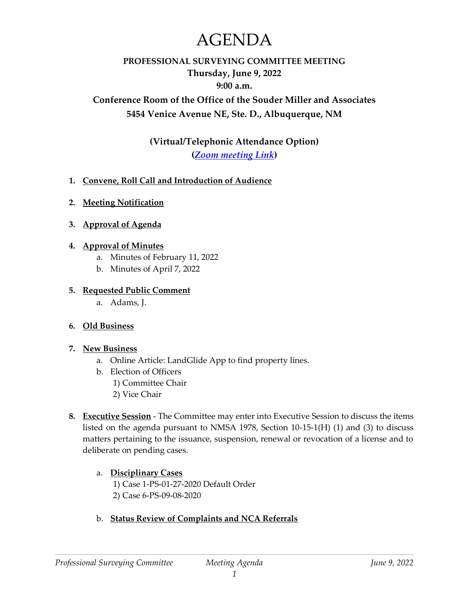# AGENDA

# **PROFESSIONAL SURVEYING COMMITTEE MEETING Thursday, June 9, 2022 9:00 a.m.**

# **Conference Room of the Office of the Souder Miller and Associates 5454 Venice Avenue NE, Ste. D., Albuquerque, NM**

**(Virtual/Telephonic Attendance Option) (***[Zoom meeting Link](https://www.sblpes.state.nm.us/)***)**

## **1. Convene, Roll Call and Introduction of Audience**

- **2. Meeting Notification**
- **3. Approval of Agenda**

## **4. Approval of Minutes**

- a. Minutes of February 11, 2022
- b. Minutes of April 7, 2022

## **5. Requested Public Comment**

a. Adams, J.

#### **6. Old Business**

#### **7. New Business**

- a. Online Article: LandGlide App to find property lines.
- b. Election of Officers
	- 1) Committee Chair
	- 2) Vice Chair
- **8. Executive Session** The Committee may enter into Executive Session to discuss the items listed on the agenda pursuant to NMSA 1978, Section 10-15-1(H) (1) and (3) to discuss matters pertaining to the issuance, suspension, renewal or revocation of a license and to deliberate on pending cases.

#### a. **Disciplinary Cases**

1) Case 1-PS-01-27-2020 Default Order 2) Case 6-PS-09-08-2020

b. **Status Review of Complaints and NCA Referrals**